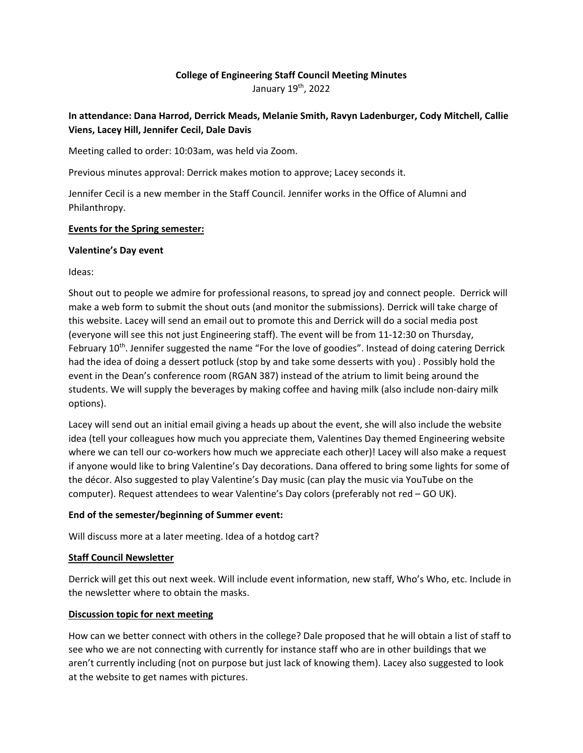# **College of Engineering Staff Council Meeting Minutes**

January 19th, 2022

# **In attendance: Dana Harrod, Derrick Meads, Melanie Smith, Ravyn Ladenburger, Cody Mitchell, Callie Viens, Lacey Hill, Jennifer Cecil, Dale Davis**

Meeting called to order: 10:03am, was held via Zoom.

Previous minutes approval: Derrick makes motion to approve; Lacey seconds it.

Jennifer Cecil is a new member in the Staff Council. Jennifer works in the Office of Alumni and Philanthropy.

### **Events for the Spring semester:**

#### **Valentine's Day event**

Ideas:

Shout out to people we admire for professional reasons, to spread joy and connect people. Derrick will make a web form to submit the shout outs (and monitor the submissions). Derrick will take charge of this website. Lacey will send an email out to promote this and Derrick will do a social media post (everyone will see this not just Engineering staff). The event will be from 11‐12:30 on Thursday, February 10th. Jennifer suggested the name "For the love of goodies". Instead of doing catering Derrick had the idea of doing a dessert potluck (stop by and take some desserts with you) . Possibly hold the event in the Dean's conference room (RGAN 387) instead of the atrium to limit being around the students. We will supply the beverages by making coffee and having milk (also include non‐dairy milk options).

Lacey will send out an initial email giving a heads up about the event, she will also include the website idea (tell your colleagues how much you appreciate them, Valentines Day themed Engineering website where we can tell our co-workers how much we appreciate each other)! Lacey will also make a request if anyone would like to bring Valentine's Day decorations. Dana offered to bring some lights for some of the décor. Also suggested to play Valentine's Day music (can play the music via YouTube on the computer). Request attendees to wear Valentine's Day colors (preferably not red – GO UK).

## **End of the semester/beginning of Summer event:**

Will discuss more at a later meeting. Idea of a hotdog cart?

#### **Staff Council Newsletter**

Derrick will get this out next week. Will include event information, new staff, Who's Who, etc. Include in the newsletter where to obtain the masks.

## **Discussion topic for next meeting**

How can we better connect with others in the college? Dale proposed that he will obtain a list of staff to see who we are not connecting with currently for instance staff who are in other buildings that we aren't currently including (not on purpose but just lack of knowing them). Lacey also suggested to look at the website to get names with pictures.